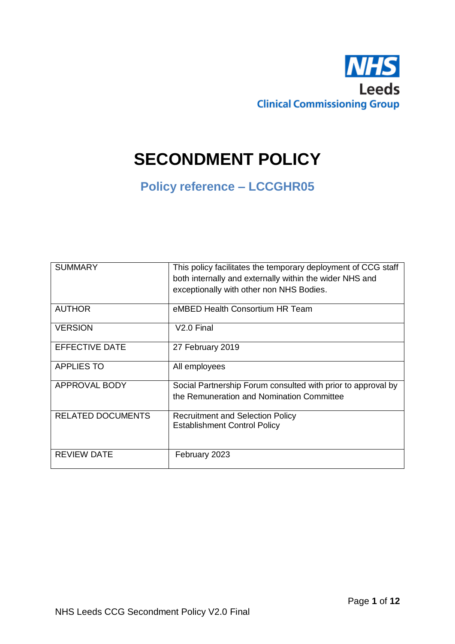

# **SECONDMENT POLICY**

# **Policy reference – LCCGHR05**

| <b>SUMMARY</b>           | This policy facilitates the temporary deployment of CCG staff<br>both internally and externally within the wider NHS and<br>exceptionally with other non NHS Bodies. |
|--------------------------|----------------------------------------------------------------------------------------------------------------------------------------------------------------------|
| <b>AUTHOR</b>            | eMBED Health Consortium HR Team                                                                                                                                      |
| <b>VERSION</b>           | $V2.0$ Final                                                                                                                                                         |
| <b>EFFECTIVE DATE</b>    | 27 February 2019                                                                                                                                                     |
| <b>APPLIES TO</b>        | All employees                                                                                                                                                        |
| <b>APPROVAL BODY</b>     | Social Partnership Forum consulted with prior to approval by<br>the Remuneration and Nomination Committee                                                            |
| <b>RELATED DOCUMENTS</b> | <b>Recruitment and Selection Policy</b><br><b>Establishment Control Policy</b>                                                                                       |
| <b>REVIEW DATE</b>       | February 2023                                                                                                                                                        |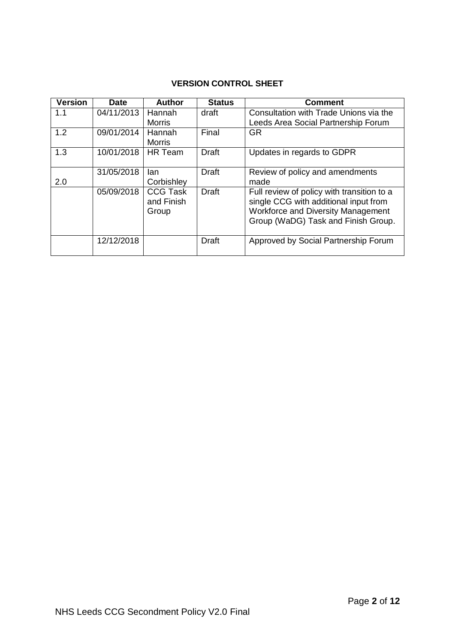# **VERSION CONTROL SHEET**

| <b>Version</b> | Date       | <b>Author</b>                          | <b>Status</b> | <b>Comment</b>                                                                                                                                                          |
|----------------|------------|----------------------------------------|---------------|-------------------------------------------------------------------------------------------------------------------------------------------------------------------------|
| 1.1            | 04/11/2013 | Hannah<br>Morris                       | draft         | Consultation with Trade Unions via the<br>Leeds Area Social Partnership Forum                                                                                           |
| 1.2            | 09/01/2014 | Hannah<br><b>Morris</b>                | Final         | <b>GR</b>                                                                                                                                                               |
| 1.3            | 10/01/2018 | <b>HR</b> Team                         | Draft         | Updates in regards to GDPR                                                                                                                                              |
| 2.0            | 31/05/2018 | lan<br>Corbishley                      | Draft         | Review of policy and amendments<br>made                                                                                                                                 |
|                | 05/09/2018 | <b>CCG Task</b><br>and Finish<br>Group | Draft         | Full review of policy with transition to a<br>single CCG with additional input from<br><b>Workforce and Diversity Management</b><br>Group (WaDG) Task and Finish Group. |
|                | 12/12/2018 |                                        | <b>Draft</b>  | Approved by Social Partnership Forum                                                                                                                                    |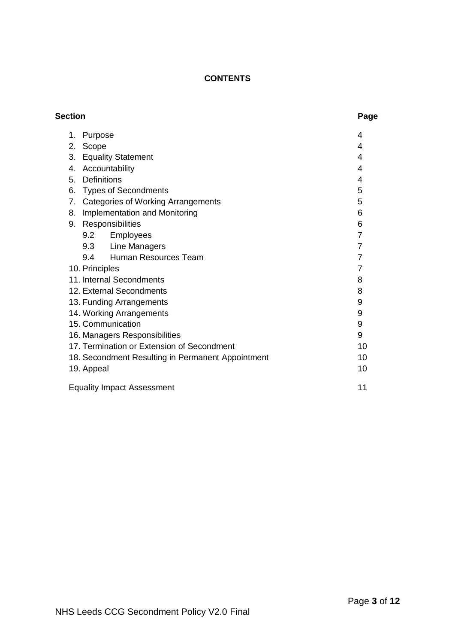# **CONTENTS**

| <b>Section</b> |                                                   | Page           |
|----------------|---------------------------------------------------|----------------|
| 1.             | Purpose                                           | 4              |
| 2.             | Scope                                             | 4              |
| 3.             | <b>Equality Statement</b>                         | 4              |
| 4.             | Accountability                                    | 4              |
| 5.             | <b>Definitions</b>                                | 4              |
| 6.             | <b>Types of Secondments</b>                       | 5              |
| 7 <sub>1</sub> | <b>Categories of Working Arrangements</b>         | 5              |
| 8.             | Implementation and Monitoring                     | 6              |
| 9.             | Responsibilities                                  | 6              |
|                | Employees<br>9.2                                  | $\overline{7}$ |
|                | 9.3 Line Managers                                 | $\overline{7}$ |
|                | Human Resources Team<br>9.4                       | $\overline{7}$ |
|                | 10. Principles                                    | 7              |
|                | 11. Internal Secondments                          | 8              |
|                | 12. External Secondments                          | 8              |
|                | 13. Funding Arrangements                          | 9              |
|                | 14. Working Arrangements                          | 9              |
|                | 15. Communication                                 | 9              |
|                | 16. Managers Responsibilities                     | 9              |
|                | 17. Termination or Extension of Secondment        | 10             |
|                | 18. Secondment Resulting in Permanent Appointment | 10             |
|                | 19. Appeal                                        | 10             |
|                | <b>Equality Impact Assessment</b>                 | 11             |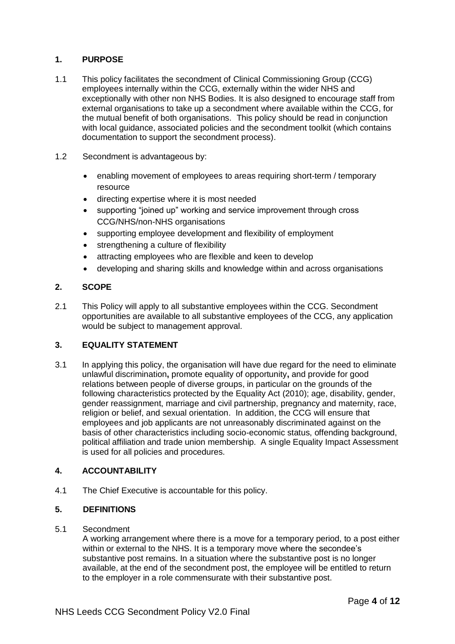# **1. PURPOSE**

- 1.1 This policy facilitates the secondment of Clinical Commissioning Group (CCG) employees internally within the CCG, externally within the wider NHS and exceptionally with other non NHS Bodies. It is also designed to encourage staff from external organisations to take up a secondment where available within the CCG, for the mutual benefit of both organisations. This policy should be read in conjunction with local guidance, associated policies and the secondment toolkit (which contains documentation to support the secondment process).
- 1.2 Secondment is advantageous by:
	- enabling movement of employees to areas requiring short-term / temporary resource
	- directing expertise where it is most needed
	- supporting "joined up" working and service improvement through cross CCG/NHS/non-NHS organisations
	- supporting employee development and flexibility of employment
	- strengthening a culture of flexibility
	- attracting employees who are flexible and keen to develop
	- developing and sharing skills and knowledge within and across organisations

#### **2. SCOPE**

2.1 This Policy will apply to all substantive employees within the CCG. Secondment opportunities are available to all substantive employees of the CCG, any application would be subject to management approval.

# **3. EQUALITY STATEMENT**

3.1 In applying this policy, the organisation will have due regard for the need to eliminate unlawful discrimination**,** promote equality of opportunity**,** and provide for good relations between people of diverse groups, in particular on the grounds of the following characteristics protected by the Equality Act (2010); age, disability, gender, gender reassignment, marriage and civil partnership, pregnancy and maternity, race, religion or belief, and sexual orientation. In addition, the CCG will ensure that employees and job applicants are not unreasonably discriminated against on the basis of other characteristics including socio-economic status, offending background, political affiliation and trade union membership. A single Equality Impact Assessment is used for all policies and procedures.

#### **4. ACCOUNTABILITY**

4.1 The Chief Executive is accountable for this policy.

#### **5. DEFINITIONS**

#### 5.1 Secondment

A working arrangement where there is a move for a temporary period, to a post either within or external to the NHS. It is a temporary move where the secondee's substantive post remains. In a situation where the substantive post is no longer available, at the end of the secondment post, the employee will be entitled to return to the employer in a role commensurate with their substantive post.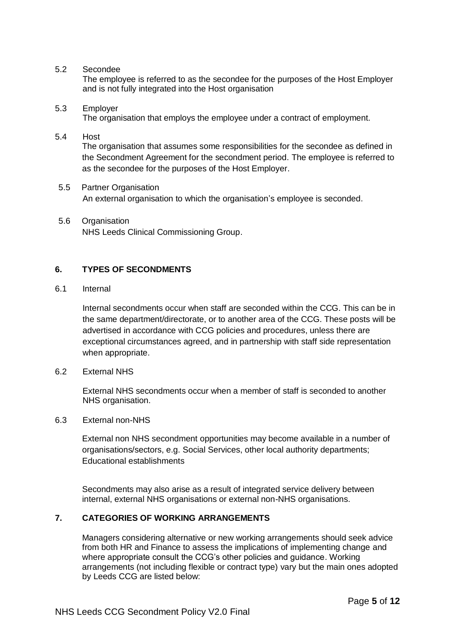#### 5.2 Secondee

The employee is referred to as the secondee for the purposes of the Host Employer and is not fully integrated into the Host organisation

#### 5.3 Employer

The organisation that employs the employee under a contract of employment.

#### 5.4 Host

The organisation that assumes some responsibilities for the secondee as defined in the Secondment Agreement for the secondment period. The employee is referred to as the secondee for the purposes of the Host Employer.

- 5.5 Partner Organisation An external organisation to which the organisation's employee is seconded.
- 5.6 Organisation NHS Leeds Clinical Commissioning Group.

#### **6. TYPES OF SECONDMENTS**

#### 6.1 Internal

Internal secondments occur when staff are seconded within the CCG. This can be in the same department/directorate, or to another area of the CCG. These posts will be advertised in accordance with CCG policies and procedures, unless there are exceptional circumstances agreed, and in partnership with staff side representation when appropriate.

6.2 External NHS

External NHS secondments occur when a member of staff is seconded to another NHS organisation.

6.3 External non-NHS

External non NHS secondment opportunities may become available in a number of organisations/sectors, e.g. Social Services, other local authority departments; Educational establishments

Secondments may also arise as a result of integrated service delivery between internal, external NHS organisations or external non-NHS organisations.

# **7. CATEGORIES OF WORKING ARRANGEMENTS**

Managers considering alternative or new working arrangements should seek advice from both HR and Finance to assess the implications of implementing change and where appropriate consult the CCG's other policies and guidance. Working arrangements (not including flexible or contract type) vary but the main ones adopted by Leeds CCG are listed below: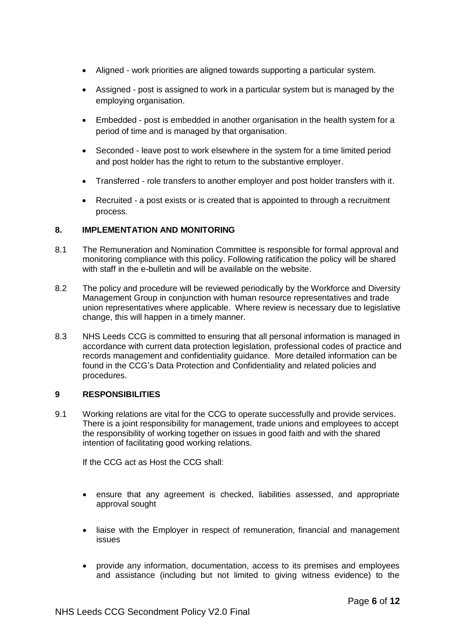- Aligned work priorities are aligned towards supporting a particular system.
- Assigned post is assigned to work in a particular system but is managed by the employing organisation.
- Embedded post is embedded in another organisation in the health system for a period of time and is managed by that organisation.
- Seconded leave post to work elsewhere in the system for a time limited period and post holder has the right to return to the substantive employer.
- Transferred role transfers to another employer and post holder transfers with it.
- Recruited a post exists or is created that is appointed to through a recruitment process.

#### **8. IMPLEMENTATION AND MONITORING**

- 8.1 The Remuneration and Nomination Committee is responsible for formal approval and monitoring compliance with this policy. Following ratification the policy will be shared with staff in the e-bulletin and will be available on the website.
- 8.2 The policy and procedure will be reviewed periodically by the Workforce and Diversity Management Group in conjunction with human resource representatives and trade union representatives where applicable. Where review is necessary due to legislative change, this will happen in a timely manner.
- 8.3 NHS Leeds CCG is committed to ensuring that all personal information is managed in accordance with current data protection legislation, professional codes of practice and records management and confidentiality guidance. More detailed information can be found in the CCG's Data Protection and Confidentiality and related policies and procedures.

#### **9 RESPONSIBILITIES**

9.1 Working relations are vital for the CCG to operate successfully and provide services. There is a joint responsibility for management, trade unions and employees to accept the responsibility of working together on issues in good faith and with the shared intention of facilitating good working relations.

If the CCG act as Host the CCG shall:

- ensure that any agreement is checked, liabilities assessed, and appropriate approval sought
- liaise with the Employer in respect of remuneration, financial and management issues
- provide any information, documentation, access to its premises and employees and assistance (including but not limited to giving witness evidence) to the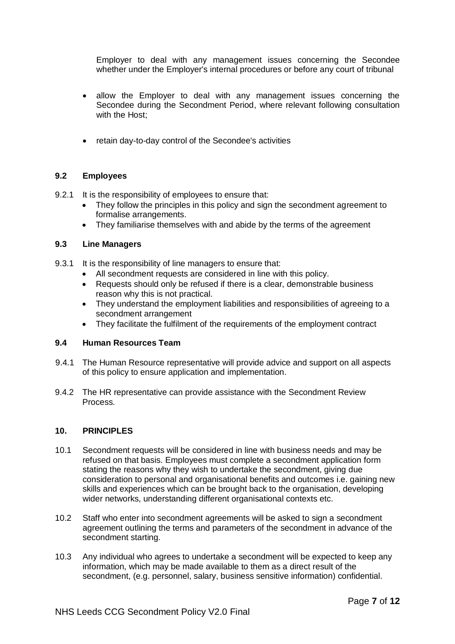Employer to deal with any management issues concerning the Secondee whether under the Employer's internal procedures or before any court of tribunal

- allow the Employer to deal with any management issues concerning the Secondee during the Secondment Period, where relevant following consultation with the Host;
- retain day-to-day control of the Secondee's activities

#### **9.2 Employees**

- 9.2.1 It is the responsibility of employees to ensure that:
	- They follow the principles in this policy and sign the secondment agreement to formalise arrangements.
	- They familiarise themselves with and abide by the terms of the agreement

#### **9.3 Line Managers**

- 9.3.1 It is the responsibility of line managers to ensure that:
	- All secondment requests are considered in line with this policy.
	- Requests should only be refused if there is a clear, demonstrable business reason why this is not practical.
	- They understand the employment liabilities and responsibilities of agreeing to a secondment arrangement
	- They facilitate the fulfilment of the requirements of the employment contract

#### **9.4 Human Resources Team**

- 9.4.1 The Human Resource representative will provide advice and support on all aspects of this policy to ensure application and implementation.
- 9.4.2 The HR representative can provide assistance with the Secondment Review Process.

#### **10. PRINCIPLES**

- 10.1 Secondment requests will be considered in line with business needs and may be refused on that basis. Employees must complete a secondment application form stating the reasons why they wish to undertake the secondment, giving due consideration to personal and organisational benefits and outcomes i.e. gaining new skills and experiences which can be brought back to the organisation, developing wider networks, understanding different organisational contexts etc.
- 10.2 Staff who enter into secondment agreements will be asked to sign a secondment agreement outlining the terms and parameters of the secondment in advance of the secondment starting.
- 10.3 Any individual who agrees to undertake a secondment will be expected to keep any information, which may be made available to them as a direct result of the secondment, (e.g. personnel, salary, business sensitive information) confidential.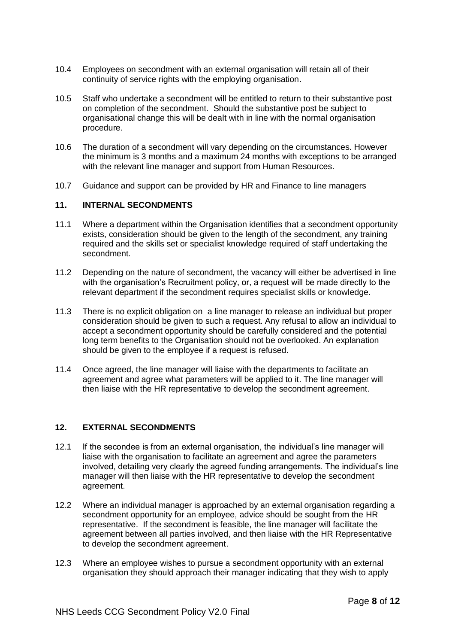- 10.4 Employees on secondment with an external organisation will retain all of their continuity of service rights with the employing organisation.
- 10.5 Staff who undertake a secondment will be entitled to return to their substantive post on completion of the secondment. Should the substantive post be subject to organisational change this will be dealt with in line with the normal organisation procedure.
- 10.6 The duration of a secondment will vary depending on the circumstances. However the minimum is 3 months and a maximum 24 months with exceptions to be arranged with the relevant line manager and support from Human Resources.
- 10.7 Guidance and support can be provided by HR and Finance to line managers

#### **11. INTERNAL SECONDMENTS**

- 11.1 Where a department within the Organisation identifies that a secondment opportunity exists, consideration should be given to the length of the secondment, any training required and the skills set or specialist knowledge required of staff undertaking the secondment.
- 11.2 Depending on the nature of secondment, the vacancy will either be advertised in line with the organisation's Recruitment policy, or, a request will be made directly to the relevant department if the secondment requires specialist skills or knowledge.
- 11.3 There is no explicit obligation on a line manager to release an individual but proper consideration should be given to such a request. Any refusal to allow an individual to accept a secondment opportunity should be carefully considered and the potential long term benefits to the Organisation should not be overlooked. An explanation should be given to the employee if a request is refused.
- 11.4 Once agreed, the line manager will liaise with the departments to facilitate an agreement and agree what parameters will be applied to it. The line manager will then liaise with the HR representative to develop the secondment agreement.

#### **12. EXTERNAL SECONDMENTS**

- 12.1 If the secondee is from an external organisation, the individual's line manager will liaise with the organisation to facilitate an agreement and agree the parameters involved, detailing very clearly the agreed funding arrangements. The individual's line manager will then liaise with the HR representative to develop the secondment agreement.
- 12.2 Where an individual manager is approached by an external organisation regarding a secondment opportunity for an employee, advice should be sought from the HR representative. If the secondment is feasible, the line manager will facilitate the agreement between all parties involved, and then liaise with the HR Representative to develop the secondment agreement.
- 12.3 Where an employee wishes to pursue a secondment opportunity with an external organisation they should approach their manager indicating that they wish to apply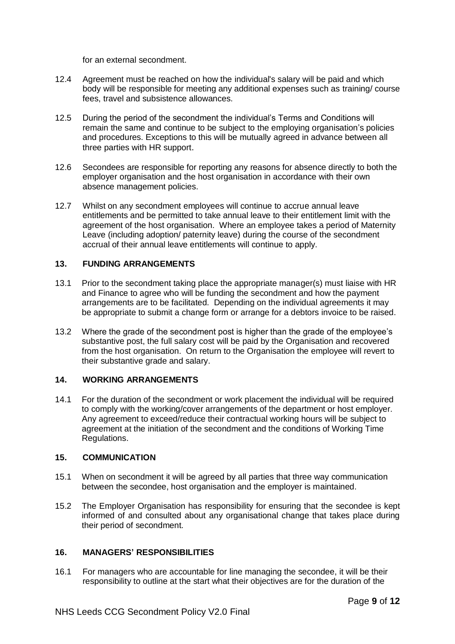for an external secondment.

- 12.4 Agreement must be reached on how the individual's salary will be paid and which body will be responsible for meeting any additional expenses such as training/ course fees, travel and subsistence allowances.
- 12.5 During the period of the secondment the individual's Terms and Conditions will remain the same and continue to be subject to the employing organisation's policies and procedures. Exceptions to this will be mutually agreed in advance between all three parties with HR support.
- 12.6 Secondees are responsible for reporting any reasons for absence directly to both the employer organisation and the host organisation in accordance with their own absence management policies.
- 12.7 Whilst on any secondment employees will continue to accrue annual leave entitlements and be permitted to take annual leave to their entitlement limit with the agreement of the host organisation. Where an employee takes a period of Maternity Leave (including adoption/ paternity leave) during the course of the secondment accrual of their annual leave entitlements will continue to apply.

#### **13. FUNDING ARRANGEMENTS**

- 13.1 Prior to the secondment taking place the appropriate manager(s) must liaise with HR and Finance to agree who will be funding the secondment and how the payment arrangements are to be facilitated. Depending on the individual agreements it may be appropriate to submit a change form or arrange for a debtors invoice to be raised.
- 13.2 Where the grade of the secondment post is higher than the grade of the employee's substantive post, the full salary cost will be paid by the Organisation and recovered from the host organisation. On return to the Organisation the employee will revert to their substantive grade and salary.

#### **14. WORKING ARRANGEMENTS**

14.1 For the duration of the secondment or work placement the individual will be required to comply with the working/cover arrangements of the department or host employer. Any agreement to exceed/reduce their contractual working hours will be subject to agreement at the initiation of the secondment and the conditions of Working Time Regulations.

#### **15. COMMUNICATION**

- 15.1 When on secondment it will be agreed by all parties that three way communication between the secondee, host organisation and the employer is maintained.
- 15.2 The Employer Organisation has responsibility for ensuring that the secondee is kept informed of and consulted about any organisational change that takes place during their period of secondment.

#### **16. MANAGERS' RESPONSIBILITIES**

16.1 For managers who are accountable for line managing the secondee, it will be their responsibility to outline at the start what their objectives are for the duration of the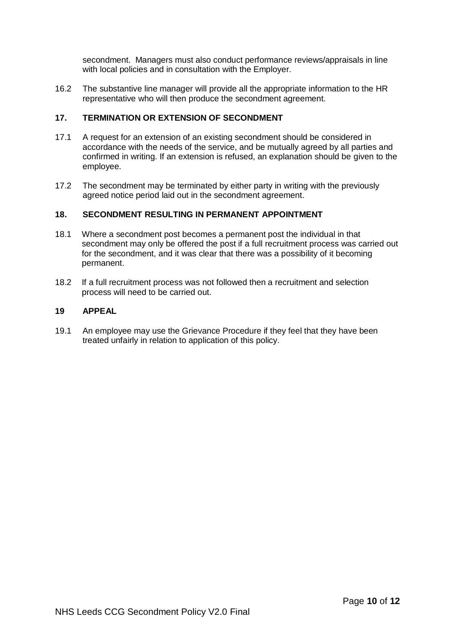secondment. Managers must also conduct performance reviews/appraisals in line with local policies and in consultation with the Employer.

16.2 The substantive line manager will provide all the appropriate information to the HR representative who will then produce the secondment agreement.

#### **17. TERMINATION OR EXTENSION OF SECONDMENT**

- 17.1 A request for an extension of an existing secondment should be considered in accordance with the needs of the service, and be mutually agreed by all parties and confirmed in writing. If an extension is refused, an explanation should be given to the employee.
- 17.2 The secondment may be terminated by either party in writing with the previously agreed notice period laid out in the secondment agreement.

#### **18. SECONDMENT RESULTING IN PERMANENT APPOINTMENT**

- 18.1 Where a secondment post becomes a permanent post the individual in that secondment may only be offered the post if a full recruitment process was carried out for the secondment, and it was clear that there was a possibility of it becoming permanent.
- 18.2 If a full recruitment process was not followed then a recruitment and selection process will need to be carried out.

#### **19 APPEAL**

19.1 An employee may use the Grievance Procedure if they feel that they have been treated unfairly in relation to application of this policy.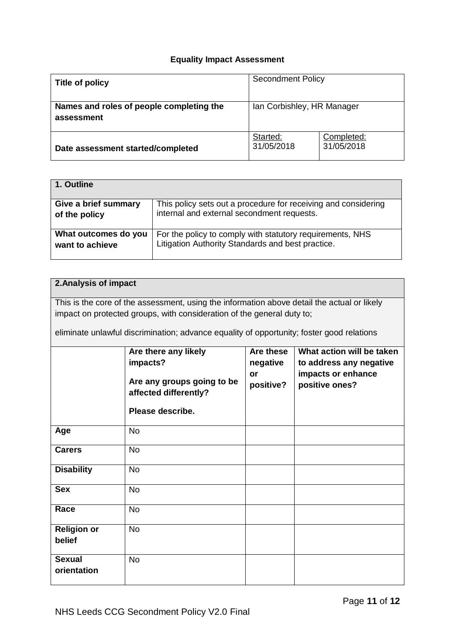# **Equality Impact Assessment**

| Title of policy                                        | <b>Secondment Policy</b>   |                          |  |
|--------------------------------------------------------|----------------------------|--------------------------|--|
| Names and roles of people completing the<br>assessment | Ian Corbishley, HR Manager |                          |  |
| Date assessment started/completed                      | Started:<br>31/05/2018     | Completed:<br>31/05/2018 |  |

| 1. Outline           |                                                                |
|----------------------|----------------------------------------------------------------|
| Give a brief summary | This policy sets out a procedure for receiving and considering |
| of the policy        | internal and external secondment requests.                     |
| What outcomes do you | For the policy to comply with statutory requirements, NHS      |
| want to achieve      | Litigation Authority Standards and best practice.              |

# **2.Analysis of impact**

This is the core of the assessment, using the information above detail the actual or likely impact on protected groups, with consideration of the general duty to;

eliminate unlawful discrimination; advance equality of opportunity; foster good relations

|                              | Are there any likely<br>impacts?<br>Are any groups going to be<br>affected differently?<br>Please describe. | Are these<br>negative<br>or<br>positive? | What action will be taken<br>to address any negative<br>impacts or enhance<br>positive ones? |
|------------------------------|-------------------------------------------------------------------------------------------------------------|------------------------------------------|----------------------------------------------------------------------------------------------|
| Age                          | <b>No</b>                                                                                                   |                                          |                                                                                              |
| <b>Carers</b>                | <b>No</b>                                                                                                   |                                          |                                                                                              |
| <b>Disability</b>            | <b>No</b>                                                                                                   |                                          |                                                                                              |
| <b>Sex</b>                   | <b>No</b>                                                                                                   |                                          |                                                                                              |
| Race                         | <b>No</b>                                                                                                   |                                          |                                                                                              |
| <b>Religion or</b><br>belief | <b>No</b>                                                                                                   |                                          |                                                                                              |
| <b>Sexual</b><br>orientation | <b>No</b>                                                                                                   |                                          |                                                                                              |